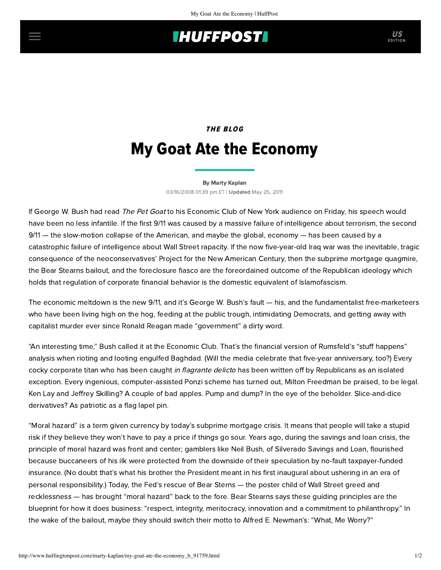## **INUFFPOSTI** US

# THE BLOG My Goat Ate the Economy

#### [By Marty Kaplan](http://www.huffingtonpost.com/author/marty-kaplan)

03/16/2008 01:39 pm ET | Updated May 25, 2011

If George W. Bush had read The Pet Goat to his Economic Club of New York audience on Friday, his speech would have been no less infantile. If the first 9/11 was caused by a massive failure of intelligence about terrorism, the second 9/11 — the slow-motion collapse of the American, and maybe the global, economy — has been caused by a catastrophic failure of intelligence about Wall Street rapacity. If the now five-year-old Iraq war was the inevitable, tragic consequence of the neoconservatives' Project for the New American Century, then the subprime mortgage quagmire, the Bear Stearns bailout, and the foreclosure fiasco are the foreordained outcome of the Republican ideology which holds that regulation of corporate financial behavior is the domestic equivalent of Islamofascism.

The economic meltdown is the new 9/11, and it's George W. Bush's fault — his, and the fundamentalist free-marketeers who have been living high on the hog, feeding at the public trough, intimidating Democrats, and getting away with capitalist murder ever since Ronald Reagan made "government" a dirty word.

"An interesting time," Bush called it at the Economic Club. That's the financial version of Rumsfeld's "stuff happens" analysis when rioting and looting engulfed Baghdad. (Will the media celebrate that five-year anniversary, too?) Every cocky corporate titan who has been caught in flagrante delicto has been written off by Republicans as an isolated exception. Every ingenious, computer-assisted Ponzi scheme has turned out, Milton Freedman be praised, to be legal. Ken Lay and Jeffrey Skilling? A couple of bad apples. Pump and dump? In the eye of the beholder. Slice-and-dice derivatives? As patriotic as a flag lapel pin.

"Moral hazard" is a term given currency by today's subprime mortgage crisis. It means that people will take a stupid risk if they believe they won't have to pay a price if things go sour. Years ago, during the savings and loan crisis, the principle of moral hazard was front and center; gamblers like Neil Bush, of Silverado Savings and Loan, flourished because buccaneers of his ilk were protected from the downside of their speculation by no-fault taxpayer-funded insurance. (No doubt that's what his brother the President meant in his first inaugural about ushering in an era of personal responsibility.) Today, the Fed's rescue of Bear Sterns — the poster child of Wall Street greed and [recklessness — has brought "moral hazard" back to the fore. Bear Stearns says these guiding principles ar](http://www.nytimes.com/2008/03/16/business/16gret.html?_r=1&ref=business&oref=slogin)e the blueprint for how it does business: "respect, integrity, meritocracy, innovation and a commitment to philanthropy." In the wake of the bailout, maybe they should switch their motto to Alfred E. Newman's: "What, Me Worry?"